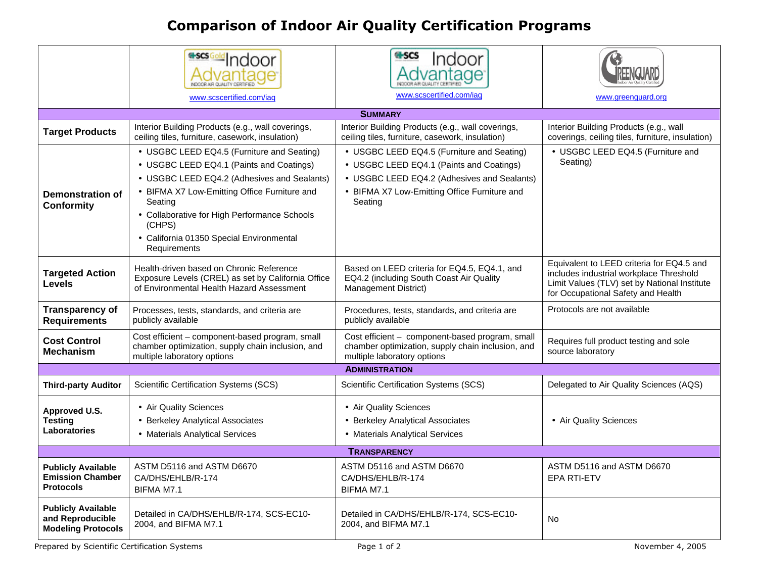## **Comparison of Indoor Air Quality Certification Programs**

|                                                                            | <b>sold</b> Indoor                                                                                                                          | <b>tescs</b><br>Indoor                                                                                                              |                                                                                                                                                                            |  |
|----------------------------------------------------------------------------|---------------------------------------------------------------------------------------------------------------------------------------------|-------------------------------------------------------------------------------------------------------------------------------------|----------------------------------------------------------------------------------------------------------------------------------------------------------------------------|--|
|                                                                            | www.scscertified.com/iaq                                                                                                                    | www.scscertified.com/iaq                                                                                                            | www.greenguard.org                                                                                                                                                         |  |
|                                                                            |                                                                                                                                             |                                                                                                                                     |                                                                                                                                                                            |  |
| <b>SUMMARY</b>                                                             |                                                                                                                                             |                                                                                                                                     |                                                                                                                                                                            |  |
| <b>Target Products</b>                                                     | Interior Building Products (e.g., wall coverings,<br>ceiling tiles, furniture, casework, insulation)                                        | Interior Building Products (e.g., wall coverings,<br>ceiling tiles, furniture, casework, insulation)                                | Interior Building Products (e.g., wall<br>coverings, ceiling tiles, furniture, insulation)                                                                                 |  |
|                                                                            | • USGBC LEED EQ4.5 (Furniture and Seating)                                                                                                  | • USGBC LEED EQ4.5 (Furniture and Seating)                                                                                          | • USGBC LEED EQ4.5 (Furniture and                                                                                                                                          |  |
|                                                                            | • USGBC LEED EQ4.1 (Paints and Coatings)                                                                                                    | • USGBC LEED EQ4.1 (Paints and Coatings)                                                                                            | Seating)                                                                                                                                                                   |  |
|                                                                            | • USGBC LEED EQ4.2 (Adhesives and Sealants)                                                                                                 | • USGBC LEED EQ4.2 (Adhesives and Sealants)                                                                                         |                                                                                                                                                                            |  |
| <b>Demonstration of</b><br><b>Conformity</b>                               | • BIFMA X7 Low-Emitting Office Furniture and<br>Seating<br>• Collaborative for High Performance Schools                                     | • BIFMA X7 Low-Emitting Office Furniture and<br>Seating                                                                             |                                                                                                                                                                            |  |
|                                                                            | (CHPS)<br>• California 01350 Special Environmental<br>Requirements                                                                          |                                                                                                                                     |                                                                                                                                                                            |  |
| <b>Targeted Action</b><br><b>Levels</b>                                    | Health-driven based on Chronic Reference<br>Exposure Levels (CREL) as set by California Office<br>of Environmental Health Hazard Assessment | Based on LEED criteria for EQ4.5, EQ4.1, and<br>EQ4.2 (including South Coast Air Quality<br><b>Management District)</b>             | Equivalent to LEED criteria for EQ4.5 and<br>includes industrial workplace Threshold<br>Limit Values (TLV) set by National Institute<br>for Occupational Safety and Health |  |
| <b>Transparency of</b><br><b>Requirements</b>                              | Processes, tests, standards, and criteria are<br>publicly available                                                                         | Procedures, tests, standards, and criteria are<br>publicly available                                                                | Protocols are not available                                                                                                                                                |  |
| <b>Cost Control</b><br><b>Mechanism</b>                                    | Cost efficient - component-based program, small<br>chamber optimization, supply chain inclusion, and<br>multiple laboratory options         | Cost efficient - component-based program, small<br>chamber optimization, supply chain inclusion, and<br>multiple laboratory options | Requires full product testing and sole<br>source laboratory                                                                                                                |  |
| <b>ADMINISTRATION</b>                                                      |                                                                                                                                             |                                                                                                                                     |                                                                                                                                                                            |  |
| <b>Third-party Auditor</b>                                                 | Scientific Certification Systems (SCS)                                                                                                      | Scientific Certification Systems (SCS)                                                                                              | Delegated to Air Quality Sciences (AQS)                                                                                                                                    |  |
| Approved U.S.                                                              | • Air Quality Sciences                                                                                                                      | • Air Quality Sciences                                                                                                              |                                                                                                                                                                            |  |
| <b>Testing</b>                                                             | • Berkeley Analytical Associates                                                                                                            | • Berkeley Analytical Associates                                                                                                    | • Air Quality Sciences                                                                                                                                                     |  |
| Laboratories                                                               | • Materials Analytical Services                                                                                                             | • Materials Analytical Services                                                                                                     |                                                                                                                                                                            |  |
| <b>TRANSPARENCY</b>                                                        |                                                                                                                                             |                                                                                                                                     |                                                                                                                                                                            |  |
| <b>Publicly Available</b><br><b>Emission Chamber</b><br><b>Protocols</b>   | ASTM D5116 and ASTM D6670<br>CA/DHS/EHLB/R-174<br>BIFMA M7.1                                                                                | ASTM D5116 and ASTM D6670<br>CA/DHS/EHLB/R-174<br>BIFMA M7.1                                                                        | ASTM D5116 and ASTM D6670<br><b>EPA RTI-ETV</b>                                                                                                                            |  |
| <b>Publicly Available</b><br>and Reproducible<br><b>Modeling Protocols</b> | Detailed in CA/DHS/EHLB/R-174, SCS-EC10-<br>2004, and BIFMA M7.1                                                                            | Detailed in CA/DHS/EHLB/R-174, SCS-EC10-<br>2004, and BIFMA M7.1                                                                    | No                                                                                                                                                                         |  |